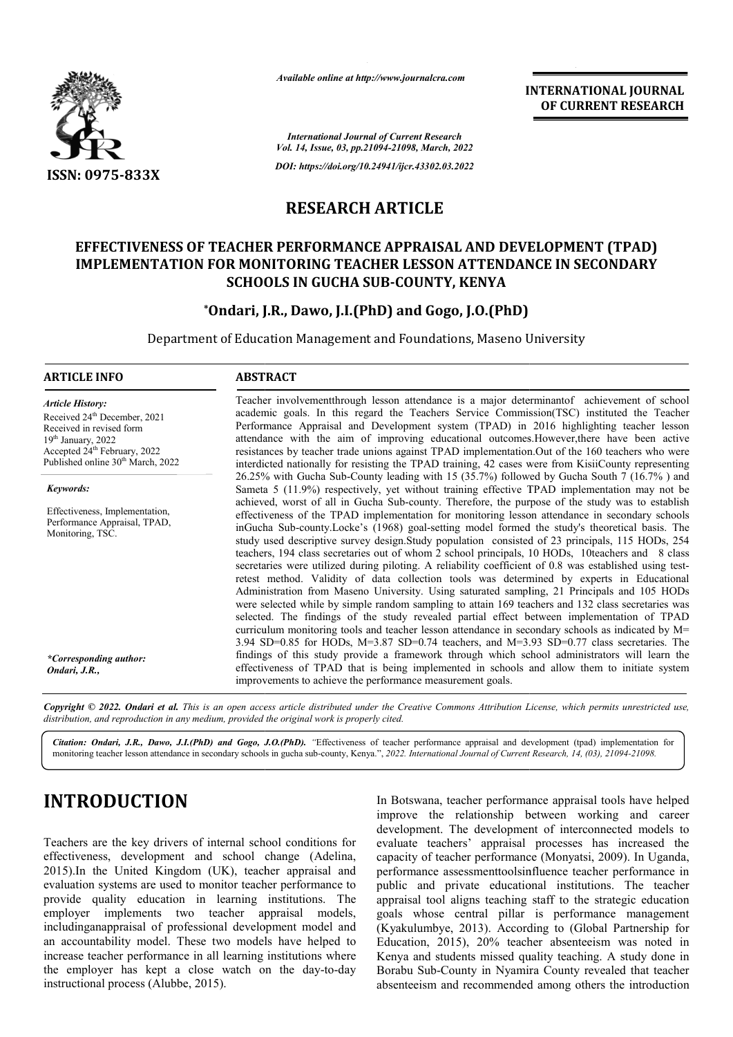

*Available online at http://www.journalcra.com*

**INTERNATIONAL JOURNAL OF CURRENT RESEARCH**

*International Journal of Current Research Vol. 14, Issue, 03, pp.21094-21098, March, 2022*

*DOI: https://doi.org/10.24941/ijcr.43302.03.2022*

## **RESEARCH ARTICLE**

## **EFFECTIVENESS OF TEACHER PERFORMANCE APPRAISAL AND DEVELOPMENT (TPAD) IMPLEMENTATION FOR MONITORING TEACHER LESSON ATTENDANCE IN SECONDARY IMPLEMENTATION FOR MONITORING TEACHER SECONDARY SCHOOLS IN GUCHA SUB SUB-COUNTY, KENYA**

## **\*Ondari, J.R., Dawo, J.I.(PhD) and Gogo, J.O.(PhD) Ondari,**

Department of Education Management and Foundations, Maseno University

## **ARTICLE INFO ABSTRACT**

*Article History:* Received 24<sup>th</sup> December, 2021 Received in revised form 19th January, 2022 Accepted 24<sup>th</sup> February, 2022 Published online 30<sup>th</sup> March, 2022

*Keywords: Keywords:*

Effectiveness, Implementation, Performance Appraisal, TPAD, Monitoring, TSC.

*\*Corresponding author: Ondari, J.R.,*

Teacher involvementthrough lesson attendance is a major determinantof achievement of school academic goals. In this regard the Teachers Service Commission(TSC) instituted the Teacher Performance Appraisal and Development system (TPAD) in 2016 highlighting teacher lesson attendance with the aim of improving educational outcomes.However,there have been active resistances by teacher trade unions against TPAD implementation.Out of the 160 teachers who were interdicted nationally for resisting the TPAD training, 42 cases were from KisiiCounty representing 26.25% with Gucha Sub Sub-County leading with 15 (35.7%) followed by Gucha South 7 (16.7% ) and Sameta 5 (11.9%) respectively, yet without training effective TPAD implementation may not be achieved, worst of all in Gucha Sub Sub-county. Therefore, the purpose of the study was to establish effectiveness of the TPAD implementation for monitoring lesson attendance in secondary schools achieved, worst of all in Gucha Sub-county. Therefore, the purpose of the study was to establish effectiveness of the TPAD implementation for monitoring lesson attendance in secondary schools inGucha Sub-county.Locke's (19 study used descriptive survey design.Study population consisted of 23 principals, 115 HODs, 254 teachers, 194 class secretaries out of whom 2 school principals, 10 HODs, 10teachers and 8 class study used descriptive survey design.Study population consisted of 23 principals, 115 HODs, 254 teachers, 194 class secretaries out of whom 2 school principals, 10 HODs, 10teachers and 8 class secretaries were utilized dur retest method. Validity of data collection tools was determined by experts in Educational retest method. Validity of data collection tools was determined by experts in Educational<br>Administration from Maseno University. Using saturated sampling, 21 Principals and 105 HODs were selected while by simple random sampling to attain 169 teachers and 132 class secretaries was selected. The findings of the study revealed partial effect between implementation of TPAD curriculum monitoring tools and teacher lesson attendance in secondary schools as indicated by M= 3.94 SD=0.85 for HODs, M=3.87 SD=0.74 teachers, and M=3.93 SD=0.77 class secretaries. The findings of this study provide a framework through which school administrators will learn the effectiveness of TPAD that is being implemented in schools and allow them to initiate system improvements to achieve the performance measurement goals. Teacher involvement through lesson attendance is a major determinantof achievement of school academic goals. In this regard the Teachers Service Commission(TSC) instituted the Teacher Performance Appraisal and Development were selected while by simple random sampling to attain 169 teachers and 132 class secretaries was selected. The findings of the study revealed partial effect between implementation of TPAD curriculum monitoring tools and INTERNATIONAL JOURNAL<br>
or CURRENT RESEARCH<br>
or CURRENT RESEARCH<br>
or CURRENT RESEARCH<br>
or CURRENT RESEARCH<br>
3.1922<br>
3.2922<br>
3.2922<br>
3.2922<br>
1.9.2022<br>
1.9.2022<br>
1.9.2022<br>
1.9.2022<br>
1.9.2022<br>
1.9.2022<br>
1.9.2022<br>
1.9.2022<br>
1.9

Copyright © 2022. Ondari et al. This is an open access article distributed under the Creative Commons Attribution License, which permits unrestricted use, *distribution, and reproduction in any medium, provided the original work is properly cited.*

Citation: Ondari, J.R., Dawo, J.I.(PhD) and Gogo, J.O.(PhD). "Effectiveness of teacher performance appraisal and development (tpad) implementation for monitoring teacher lesson attendance in secondary schools in gucha sub-county, Kenya.", 2022. International Journal of Current Research, 14, (03), 21094-21098.

# **INTRODUCTION**

Teachers are the key drivers of internal school conditions for effectiveness, development and school change (Adelina, 2015).In the United Kingdom (UK), teacher appraisal and evaluation systems are used to monitor teacher performance to provide quality education in learning institutions. The employer implements two teacher appraisal models, includinganappraisal of professional development model and an accountability model. These two models have helped to increase teacher performance in all learning institutions where the employer has kept a close watch on the day instructional process (Alubbe, 2015). i).In the United Kingdom (UK), teacher appraisal and<br>uation systems are used to monitor teacher performance to<br>ide quality education in learning institutions. The<br>loyer implements two teacher appraisal models,<br>udinganappra In Botswana, teacher performance appraisal tools have helped In Botswana, teacher performance appraisal tools have helped<br>improve the relationship between working and career development. The development of interconnected models to evaluate teachers' appraisal processes has increased the capacity of teacher performance (Monyatsi, 2009). In Uganda, performance assessmenttoolsinfluence teacher performance in public and private educational institutions. The teacher appraisal tool aligns teaching staff to the strategic education goals whose central pillar is performance management (Kyakulumbye, 2013). According to (Global Partnership for Education, 2015), 20% teacher absenteeism was noted in Kenya and students missed quality teaching. A study done in Borabu Sub-County in Nyamira County revealed that teacher absenteeism and recommended among others the introduction hance assessmenttoolsinfluence teacher performance in and private educational institutions. The teacher al tool aligns teaching staff to the strategic education whose central pillar is performance management lumbye, 2013).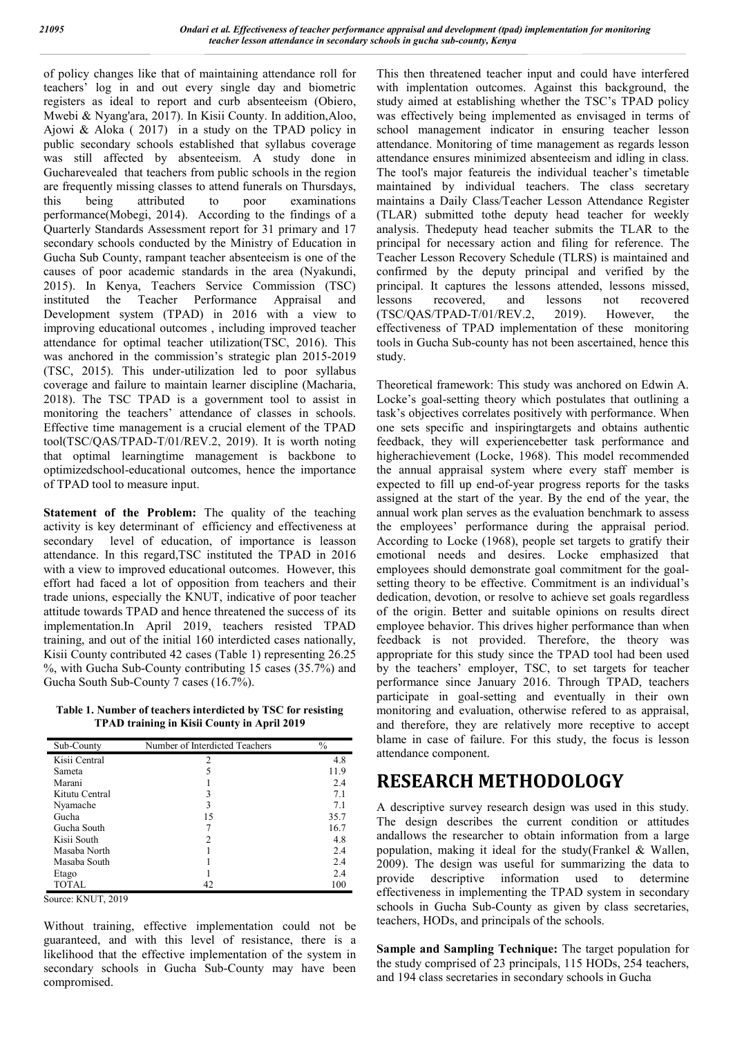of policy changes like that of maintaining attendance roll for teachers' log in and out every single day and biometric registers as ideal to report and curb absenteeism (Obiero, Mwebi & Nyang'ara, 2017). In Kisii County. In addition,Aloo, Ajowi & Aloka ( 2017) in a study on the TPAD policy in public secondary schools established that syllabus coverage was still affected by absenteeism. A study done in Gucharevealed that teachers from public schools in the region are frequently missing classes to attend funerals on Thursdays,<br>this being attributed to poor examinations this being attributed to poor examinations performance(Mobegi, 2014). According to the findings of a Quarterly Standards Assessment report for 31 primary and 17 secondary schools conducted by the Ministry of Education in Gucha Sub County, rampant teacher absenteeism is one of the causes of poor academic standards in the area (Nyakundi, 2015). In Kenya, Teachers Service Commission (TSC) instituted the Teacher Performance Appraisal and Development system (TPAD) in 2016 with a view to improving educational outcomes , including improved teacher attendance for optimal teacher utilization(TSC, 2016). This was anchored in the commission's strategic plan 2015-2019 (TSC, 2015). This under-utilization led to poor syllabus coverage and failure to maintain learner discipline (Macharia, 2018). The TSC TPAD is a government tool to assist in monitoring the teachers' attendance of classes in schools. Effective time management is a crucial element of the TPAD tool(TSC/QAS/TPAD-T/01/REV.2, 2019). It is worth noting that optimal learningtime management is backbone to optimizedschool-educational outcomes, hence the importance of TPAD tool to measure input.

**Statement of the Problem:** The quality of the teaching activity is key determinant of efficiency and effectiveness at secondary level of education, of importance is leasson attendance. In this regard,TSC instituted the TPAD in 2016 with a view to improved educational outcomes. However, this effort had faced a lot of opposition from teachers and their trade unions, especially the KNUT, indicative of poor teacher attitude towards TPAD and hence threatened the success of its implementation.In April 2019, teachers resisted TPAD training, and out of the initial 160 interdicted cases nationally, Kisii County contributed 42 cases (Table 1) representing 26.25 %, with Gucha Sub-County contributing 15 cases (35.7%) and Gucha South Sub-County 7 cases (16.7%).

**Table 1. Number of teachers interdicted by TSC for resisting TPAD training in Kisii County in April 2019**

| Sub-County     | Number of Interdicted Teachers | $\frac{0}{0}$ |
|----------------|--------------------------------|---------------|
| Kisii Central  | 2                              | 4.8           |
| Sameta         |                                | 11.9          |
| Marani         |                                | 2.4           |
| Kitutu Central |                                | 7.1           |
| Nyamache       |                                | 7.1           |
| Gucha          | 15                             | 35.7          |
| Gucha South    |                                | 16.7          |
| Kisii South    | 2                              | 4.8           |
| Masaba North   |                                | 2.4           |
| Masaba South   |                                | 2.4           |
| Etago          |                                | 2.4           |
| TOTAL          |                                | 100           |

Source: KNUT, 2019

Without training, effective implementation could not be guaranteed, and with this level of resistance, there is a likelihood that the effective implementation of the system in secondary schools in Gucha Sub-County may have been compromised.

This then threatened teacher input and could have interfered with implentation outcomes. Against this background, the study aimed at establishing whether the TSC's TPAD policy was effectively being implemented as envisaged in terms of school management indicator in ensuring teacher lesson attendance. Monitoring of time management as regards lesson attendance ensures minimized absenteeism and idling in class. The tool's major featureis the individual teacher's timetable maintained by individual teachers. The class secretary maintains a Daily Class/Teacher Lesson Attendance Register (TLAR) submitted tothe deputy head teacher for weekly analysis. Thedeputy head teacher submits the TLAR to the principal for necessary action and filing for reference. The Teacher Lesson Recovery Schedule (TLRS) is maintained and confirmed by the deputy principal and verified by the principal. It captures the lessons attended, lessons missed, lessons recovered, and lessons not recovered (TSC/QAS/TPAD-T/01/REV.2, 2019). However, the effectiveness of TPAD implementation of these monitoring tools in Gucha Sub-county has not been ascertained, hence this study.

Theoretical framework: This study was anchored on Edwin A. Locke's goal-setting theory which postulates that outlining a task's objectives correlates positively with performance. When one sets specific and inspiringtargets and obtains authentic feedback, they will experiencebetter task performance and higherachievement (Locke, 1968). This model recommended the annual appraisal system where every staff member is expected to fill up end-of-year progress reports for the tasks assigned at the start of the year. By the end of the year, the annual work plan serves as the evaluation benchmark to assess the employees' performance during the appraisal period. According to Locke (1968), people set targets to gratify their emotional needs and desires. Locke emphasized that employees should demonstrate goal commitment for the goalsetting theory to be effective. Commitment is an individual's dedication, devotion, or resolve to achieve set goals regardless of the origin. Better and suitable opinions on results direct employee behavior. This drives higher performance than when feedback is not provided. Therefore, the theory was appropriate for this study since the TPAD tool had been used by the teachers' employer, TSC, to set targets for teacher performance since January 2016. Through TPAD, teachers participate in goal-setting and eventually in their own monitoring and evaluation, otherwise refered to as appraisal, and therefore, they are relatively more receptive to accept blame in case of failure. For this study, the focus is lesson attendance component.

# **RESEARCH METHODOLOGY**

A descriptive survey research design was used in this study. The design describes the current condition or attitudes andallows the researcher to obtain information from a large population, making it ideal for the study(Frankel & Wallen, 2009). The design was useful for summarizing the data to provide descriptive information used to determine effectiveness in implementing the TPAD system in secondary schools in Gucha Sub-County as given by class secretaries, teachers, HODs, and principals of the schools.

**Sample and Sampling Technique:** The target population for the study comprised of 23 principals, 115 HODs, 254 teachers, and 194 class secretaries in secondary schools in Gucha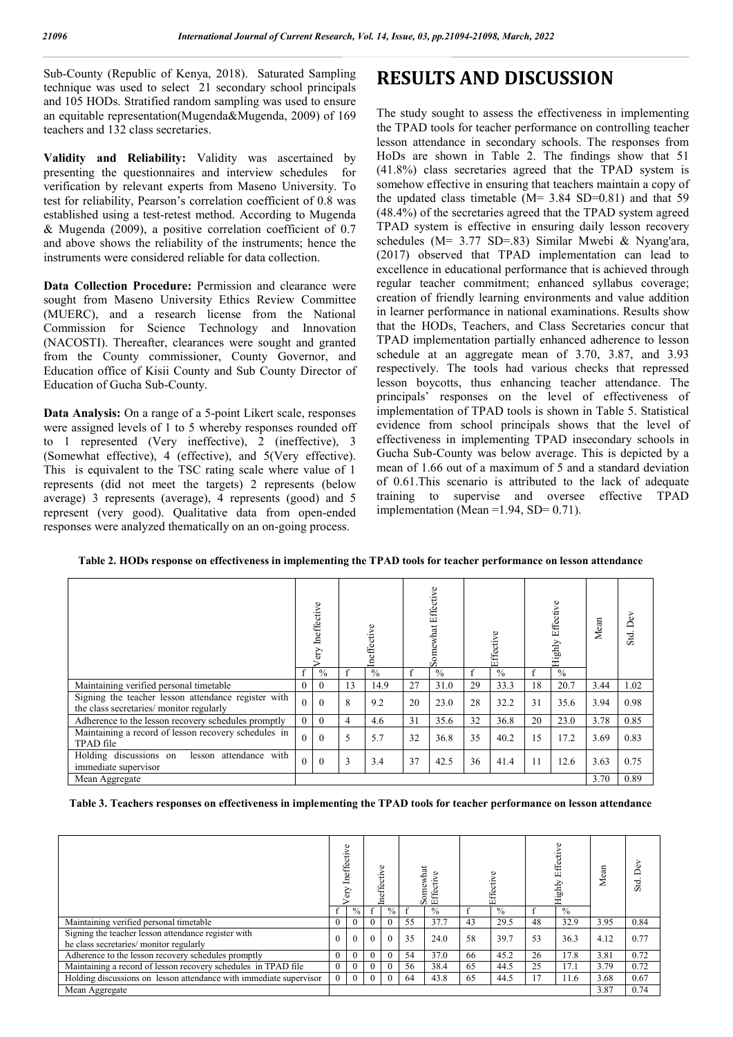Sub-County (Republic of Kenya, 2018). Saturated Sampling technique was used to select 21 secondary school principals and 105 HODs. Stratified random sampling was used to ensure an equitable representation(Mugenda&Mugenda, 2009) of 169 teachers and 132 class secretaries.

**Validity and Reliability:** Validity was ascertained by presenting the questionnaires and interview schedules for verification by relevant experts from Maseno University. To test for reliability, Pearson's correlation coefficient of 0.8 was established using a test-retest method. According to Mugenda & Mugenda (2009), a positive correlation coefficient of 0.7 and above shows the reliability of the instruments; hence the instruments were considered reliable for data collection.

Data Collection Procedure: Permission and clearance were sought from Maseno University Ethics Review Committee (MUERC), and a research license from the National Commission for Science Technology and Innovation (NACOSTI). Thereafter, clearances were sought and granted from the County commissioner, County Governor, and Education office of Kisii County and Sub County Director of Education of Gucha Sub-County.

**Data Analysis:** On a range of a 5-point Likert scale, responses were assigned levels of 1 to 5 whereby responses rounded off to 1 represented (Very ineffective), 2 (ineffective), 3 (Somewhat effective), 4 (effective), and 5(Very effective). This is equivalent to the TSC rating scale where value of 1 represents (did not meet the targets) 2 represents (below average) 3 represents (average), 4 represents (good) and 5 represent (very good). Qualitative data from open-ended responses were analyzed thematically on an on-going process.

## **RESULTS AND DISCUSSION**

The study sought to assess the effectiveness in implementing the TPAD tools for teacher performance on controlling teacher lesson attendance in secondary schools. The responses from HoDs are shown in Table 2. The findings show that 51 (41.8%) class secretaries agreed that the TPAD system is somehow effective in ensuring that teachers maintain a copy of the updated class timetable (M= 3.84 SD=0.81) and that 59 (48.4%) of the secretaries agreed that the TPAD system agreed TPAD system is effective in ensuring daily lesson recovery schedules (M= 3.77 SD=.83) Similar Mwebi & Nyang'ara, (2017) observed that TPAD implementation can lead to excellence in educational performance that is achieved through regular teacher commitment; enhanced syllabus coverage; creation of friendly learning environments and value addition in learner performance in national examinations. Results show that the HODs, Teachers, and Class Secretaries concur that TPAD implementation partially enhanced adherence to lesson schedule at an aggregate mean of 3.70, 3.87, and 3.93 respectively. The tools had various checks that repressed lesson boycotts, thus enhancing teacher attendance. The principals' responses on the level of effectiveness of implementation of TPAD tools is shown in Table 5. Statistical evidence from school principals shows that the level of effectiveness in implementing TPAD insecondary schools in Gucha Sub-County was below average. This is depicted by a mean of 1.66 out of a maximum of 5 and a standard deviation of 0.61.This scenario is attributed to the lack of adequate training to supervise and oversee effective TPAD implementation (Mean = $1.94$ , SD= $0.71$ ).

**Table 2. HODs response on effectiveness in implementing the TPAD tools for teacher performance on lesson attendance**

|                                                                                                 | /ery Ineffective |               |              | Ineffective   |    | omewhat Effective<br>Ō |    | Effective     | Highly Effective |               | Mean | $\overline{D}$ ev<br>Std. |
|-------------------------------------------------------------------------------------------------|------------------|---------------|--------------|---------------|----|------------------------|----|---------------|------------------|---------------|------|---------------------------|
|                                                                                                 |                  | $\frac{0}{0}$ | $\mathbf{f}$ | $\frac{0}{0}$ | f  | $\frac{0}{0}$          | f  | $\frac{0}{0}$ | f                | $\frac{0}{0}$ |      |                           |
| Maintaining verified personal timetable                                                         | 0                | $\mathbf{0}$  | 13           | 14.9          | 27 | 31.0                   | 29 | 33.3          | 18               | 20.7          | 3.44 | 1.02                      |
| Signing the teacher lesson attendance register with<br>the class secretaries/ monitor regularly |                  | $\theta$      | 8            | 9.2           | 20 | 23.0                   | 28 | 32.2          | 31               | 35.6          | 3.94 | 0.98                      |
| Adherence to the lesson recovery schedules promptly                                             | $\overline{0}$   | $\mathbf{0}$  | 4            | 4.6           | 31 | 35.6                   | 32 | 36.8          | 20               | 23.0          | 3.78 | 0.85                      |
| Maintaining a record of lesson recovery schedules in<br>TPAD file                               | $\theta$         | $\theta$      | 5            | 5.7           | 32 | 36.8                   | 35 | 40.2          | 15               | 17.2          | 3.69 | 0.83                      |
| Holding discussions on<br>attendance with<br>lesson<br>immediate supervisor                     | $\Omega$         | $\theta$      | 3            | 3.4           | 37 | 42.5                   | 36 | 41.4          | 11               | 12.6          | 3.63 | 0.75                      |
| Mean Aggregate                                                                                  |                  |               |              |               |    |                        |    |               |                  |               | 3.70 | 0.89                      |

**Table 3. Teachers responses on effectiveness in implementing the TPAD tools for teacher performance on lesson attendance**

|                                                                                                | neffective |               | $\circ$<br>≔<br>د<br>effe |               | omewhat<br>S<br>Effecti<br>rñ |               |    | Ef            | Effective<br>Highly |      | Mean | ۵<br>Std. |
|------------------------------------------------------------------------------------------------|------------|---------------|---------------------------|---------------|-------------------------------|---------------|----|---------------|---------------------|------|------|-----------|
|                                                                                                |            | $\frac{0}{0}$ |                           | $\frac{0}{0}$ |                               | $\frac{0}{0}$ |    | $\frac{0}{0}$ |                     | 0/2  |      |           |
| Maintaining verified personal timetable                                                        | $\theta$   |               |                           | 0             | 55                            | 37.7          | 43 | 29.5          | 48                  | 32.9 | 3.95 | 0.84      |
| Signing the teacher lesson attendance register with<br>he class secretaries/ monitor regularly | $\Omega$   | $\Omega$      | $\Omega$                  | $\theta$      | 35                            | 24.0          | 58 | 39.7          | 53                  | 36.3 | 4.12 | 0.77      |
| Adherence to the lesson recovery schedules promptly                                            | $\theta$   |               |                           | $\Omega$      | 54                            | 37.0          | 66 | 45.2          | 26                  | 17.8 | 3.81 | 0.72      |
| Maintaining a record of lesson recovery schedules in TPAD file                                 | $\theta$   | $\theta$      |                           | $\Omega$      | 56                            | 38.4          | 65 | 44.5          | 25                  | 17.1 | 3.79 | 0.72      |
| Holding discussions on lesson attendance with immediate supervisor                             | $\Omega$   | $\Omega$      |                           | $\Omega$      | 64                            | 43.8          | 65 | 44.5          |                     | 11.6 | 3.68 | 0.67      |
| Mean Aggregate                                                                                 |            |               |                           |               |                               |               |    |               |                     |      | 3.87 | 0.74      |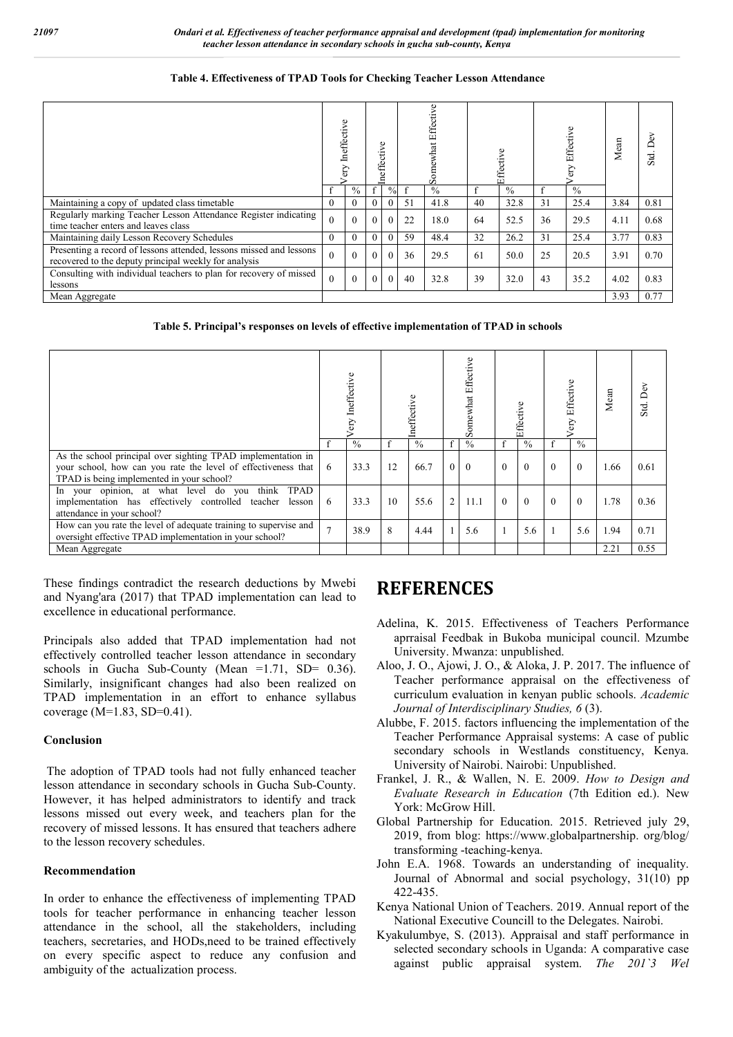#### **Table 4. Effectiveness of TPAD Tools for Checking Teacher Lesson Attendance**

|                                                                                                                              | Ineffective<br><b>ED</b> |               | Ineffective |                |    | Somewhat Effective |    | Effective     |    | Effective<br>ery | Mean | DeV<br>Std. |
|------------------------------------------------------------------------------------------------------------------------------|--------------------------|---------------|-------------|----------------|----|--------------------|----|---------------|----|------------------|------|-------------|
|                                                                                                                              | f                        | $\frac{0}{0}$ | $\mathbf f$ | $\frac{0}{0}$  |    | $^{0}/_{0}$        |    | $\frac{0}{0}$ |    | $\frac{0}{0}$    |      |             |
| Maintaining a copy of updated class timetable                                                                                | $\mathbf{0}$             | $\Omega$      | $\theta$    | $\Omega$       | 51 | 41.8               | 40 | 32.8          | 31 | 25.4             | 3.84 | 0.81        |
| Regularly marking Teacher Lesson Attendance Register indicating<br>time teacher enters and leaves class                      | $\theta$                 |               | $\theta$    | $\mathbf{0}$   | 22 | 18.0               | 64 | 52.5          | 36 | 29.5             | 4.11 | 0.68        |
| Maintaining daily Lesson Recovery Schedules                                                                                  | $\theta$                 | 0             | $\theta$    | $\Omega$       | 59 | 48.4               | 32 | 26.2          | 31 | 25.4             | 3.77 | 0.83        |
| Presenting a record of lessons attended, lessons missed and lessons<br>recovered to the deputy principal weekly for analysis | $\theta$                 | $\Omega$      | $\theta$    | $\theta$       | 36 | 29.5               | 61 | 50.0          | 25 | 20.5             | 3.91 | 0.70        |
| Consulting with individual teachers to plan for recovery of missed<br>lessons                                                | $\theta$                 | $\Omega$      | $\theta$    | $\overline{0}$ | 40 | 32.8               | 39 | 32.0          | 43 | 35.2             | 4.02 | 0.83        |
| Mean Aggregate                                                                                                               |                          |               |             |                |    |                    |    |               |    | 3.93             | 0.77 |             |

### **Table 5. Principal's responses on levels of effective implementation of TPAD in schools**

|                                                                                                                                                                            | ery Ineffective |               |    |               | Somewhat Effective |               | Effective |               | ery Effective |               | Mean | Std. Dev |
|----------------------------------------------------------------------------------------------------------------------------------------------------------------------------|-----------------|---------------|----|---------------|--------------------|---------------|-----------|---------------|---------------|---------------|------|----------|
|                                                                                                                                                                            |                 | $\frac{0}{0}$ |    | $\frac{0}{0}$ | f                  | $\frac{0}{0}$ | f         | $\frac{0}{0}$ | £             | $\frac{0}{0}$ |      |          |
| As the school principal over sighting TPAD implementation in<br>your school, how can you rate the level of effectiveness that<br>TPAD is being implemented in your school? | 6               | 33.3          | 12 | 66.7          | $\overline{0}$     | $\Omega$      | $\Omega$  | $\theta$      | $\Omega$      | $\theta$      | 1.66 | 0.61     |
| In your opinion, at what level do you think TPAD<br>implementation has effectively controlled teacher lesson<br>attendance in your school?                                 | 6               | 33.3          | 10 | 55.6          | $\overline{2}$     | 11.1          | $\Omega$  | $\Omega$      | $\Omega$      | $\theta$      | 1.78 | 0.36     |
| How can you rate the level of adequate training to supervise and<br>oversight effective TPAD implementation in your school?                                                |                 | 38.9          | 8  | 4.44          |                    | 5.6           |           | 5.6           |               | 5.6           | 1.94 | 0.71     |
| Mean Aggregate                                                                                                                                                             |                 |               |    |               |                    |               |           |               |               |               | 2.21 | 0.55     |

These findings contradict the research deductions by Mwebi and Nyang'ara (2017) that TPAD implementation can lead to excellence in educational performance.

Principals also added that TPAD implementation had not effectively controlled teacher lesson attendance in secondary schools in Gucha Sub-County (Mean  $=1.71$ , SD $= 0.36$ ). Similarly, insignificant changes had also been realized on TPAD implementation in an effort to enhance syllabus coverage  $(M=1.83, SD=0.41)$ .

#### **Conclusion**

The adoption of TPAD tools had not fully enhanced teacher lesson attendance in secondary schools in Gucha Sub-County. However, it has helped administrators to identify and track lessons missed out every week, and teachers plan for the recovery of missed lessons. It has ensured that teachers adhere to the lesson recovery schedules.

#### **Recommendation**

In order to enhance the effectiveness of implementing TPAD tools for teacher performance in enhancing teacher lesson attendance in the school, all the stakeholders, including teachers, secretaries, and HODs,need to be trained effectively on every specific aspect to reduce any confusion and ambiguity of the actualization process.

# **REFERENCES**

- Adelina, K. 2015. Effectiveness of Teachers Performance aprraisal Feedbak in Bukoba municipal council. Mzumbe University. Mwanza: unpublished.
- Aloo, J. O., Ajowi, J. O., & Aloka, J. P. 2017. The influence of Teacher performance appraisal on the effectiveness of curriculum evaluation in kenyan public schools. *Academic Journal of Interdisciplinary Studies, 6* (3).
- Alubbe, F. 2015. factors influencing the implementation of the Teacher Performance Appraisal systems: A case of public secondary schools in Westlands constituency, Kenya. University of Nairobi. Nairobi: Unpublished.
- Frankel, J. R., & Wallen, N. E. 2009. *How to Design and Evaluate Research in Education* (7th Edition ed.). New York: McGrow Hill.
- Global Partnership for Education. 2015. Retrieved july 29, 2019, from blog: https://www.globalpartnership. org/blog/ transforming -teaching-kenya.
- John E.A. 1968. Towards an understanding of inequality. Journal of Abnormal and social psychology, 31(10) pp 422-435.
- Kenya National Union of Teachers. 2019. Annual report of the National Executive Councill to the Delegates. Nairobi.
- Kyakulumbye, S. (2013). Appraisal and staff performance in selected secondary schools in Uganda: A comparative case against public appraisal system. *The 201`3 Wel*